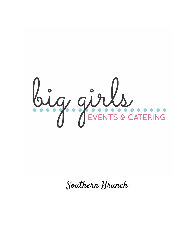

Southern Brunch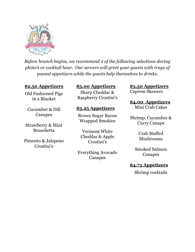

*Before brunch begins, we recommend 2 of the following selections during photo's or cocktail hour. Our servers will greet your guests with trays of passed appetizers while the guests help themselves to drinks.*

#### **\$2.50 Appetizers**

#### Old Fashioned Pigs in a Blanket

Cucumber & Dill Canapes

Strawberry & Mint Bruschetta

Pimento & Jalapeno Crostini's

#### **\$3.00 Appetizers**

Sharp Cheddar & Raspberry Crostini's

#### **\$3.25 Appetizers**

Brown Sugar Bacon Wrapped Smokies

Vermont White Cheddar & Apple Crostini's

Everything Avocado Canapes

**\$3.50 Appetizers**

Caprese Skewers

### **\$4.00 Appetizers**

Mini Crab Cakes

Shrimp, Cucumber & Curry Canape

> Crab Stuffed Mushrooms

Smoked Salmon Canapes

#### **\$4.75 Appetizers**

Shrimp cocktails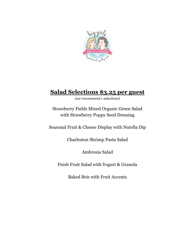

# **Salad Selections \$3.25 per guest**

*(we recommend 1 selections)*

Strawberry Fields Mixed Organic Green Salad with Strawberry Poppy Seed Dressing

Seasonal Fruit & Cheese Display with Nutella Dip

Charleston Shrimp Pasta Salad

Ambrosia Salad

Fresh Fruit Salad with Yogurt & Granola

Baked Brie with Fruit Accents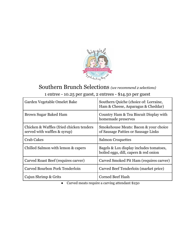

### Southern Brunch Selections *(we recommend <sup>2</sup> selections)* 1 entree - 10.25 per guest, 2 entrees - \$14.50 per guest

| Garden Vegetable Omelet Bake                                             | Southern Quiche (choice of: Lorraine,<br>Ham & Cheese, Asparagus & Cheddar)       |
|--------------------------------------------------------------------------|-----------------------------------------------------------------------------------|
| Brown Sugar Baked Ham                                                    | Country Ham & Tea Biscuit Display with<br>homemade preserves                      |
| Chicken & Waffles (fried chicken tenders<br>served with waffles & syrup) | Smokehouse Meats: Bacon & your choice<br>of Sausage Patties or Sausage Links      |
| <b>Crab Cakes</b>                                                        | <b>Salmon Croquettes</b>                                                          |
| Chilled Salmon with lemon & capers                                       | Bagels & Lox display includes to matoes,<br>boiled eggs, dill, capers & red onion |
| Carved Roast Beef (requires carver)                                      | Carved Smoked Pit Ham (requires carver)                                           |
| Carved Bourbon Pork Tenderloin                                           | Carved Beef Tenderloin (market price)                                             |
| Cajun Shrimp & Grits                                                     | <b>Corned Beef Hash</b>                                                           |

● Carved meats require a carving attendant \$250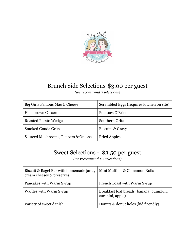

### Brunch Side Selections \$3.00 per guest

*(we recommend 2 selections)*

| Big Girls Famous Mac & Cheese       | Scrambled Eggs (requires kitchen on site) |
|-------------------------------------|-------------------------------------------|
| <b>Hashbrown Casserole</b>          | Potatoes O'Brien                          |
| <b>Roasted Potato Wedges</b>        | <b>Southern Grits</b>                     |
| <b>Smoked Gouda Grits</b>           | Biscuits & Gravy                          |
| Sauteed Mushrooms, Peppers & Onions | <b>Fried Apples</b>                       |

# Sweet Selections - \$3.50 per guest

*(we recommend 1-2 selections)*

| Biscuit & Bagel Bar with homemade jams,<br>cream cheeses & preserves | Mini Muffins & Cinnamon Rolls                               |
|----------------------------------------------------------------------|-------------------------------------------------------------|
| Pancakes with Warm Syrup                                             | French Toast with Warm Syrup                                |
| <b>Waffles with Warm Syrup</b>                                       | Breakfast loaf breads (banana, pumpkin,<br>zucchini, apple) |
| Variety of sweet danish                                              | Donuts & donut holes (kid friendly)                         |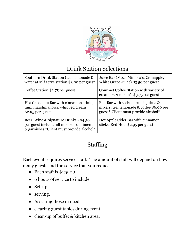

### Drink Station Selections

| Southern Drink Station (tea, lemonade &                                                                                          | Juice Bar (Mock Mimosa's, Cranapple,                                           |
|----------------------------------------------------------------------------------------------------------------------------------|--------------------------------------------------------------------------------|
| water at self serve station \$3.00 per guest                                                                                     | White Grape Juice) \$3.50 per guest                                            |
| Coffee Station \$2.75 per guest                                                                                                  | Gourmet Coffee Station with variety of<br>creamers & mix in's \$3.75 per guest |
| Hot Chocolate Bar with cinnamon sticks,                                                                                          | Full Bar with sodas, brunch juices &                                           |
| mini marshmallows, whipped cream                                                                                                 | mixers, tea, lemonade & coffee \$6.00 per                                      |
| $$2.95$ per guest                                                                                                                | guest * Client must provide alcohol*                                           |
| Beer, Wine & Signature Drinks - \$4.50<br>per guest includes all mixers, condiments<br>& garnishes *Client must provide alcohol* | Hot Apple Cider Bar with cinnamon<br>sticks, Red Hots \$2.95 per guest         |

## Staffing

Each event requires service staff. The amount of staff will depend on how many guests and the service that you request.

- Each staff is \$175.00
- 6 hours of service to include
- Set-up,
- serving,
- Assisting those in need
- clearing guest tables during event,
- clean-up of buffet & kitchen area.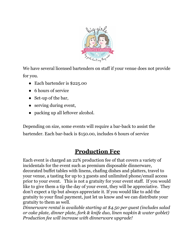

We have several licensed bartenders on staff if your venue does not provide for you.

- Each bartender is \$225.00
- 6 hours of service
- Set-up of the bar,
- serving during event,
- packing up all leftover alcohol.

Depending on size, some events will require a bar-back to assist the bartender. Each bar-back is \$150.00, includes 6 hours of service

# **Production Fee**

Each event is charged an 22% production fee of that covers a variety of incidentals for the event such as premium disposable dinnerware, decorated buffet tables with linens, chafing dishes and platters, travel to your venue, a tasting for up to 3 guests and unlimited phone/email access prior to your event. This is not a gratuity for your event staff. If you would like to give them a tip the day of your event, they will be appreciative. They don't expect a tip but always appreciate it. If you would like to add the gratuity to your final payment, just let us know and we can distribute your gratuity to them as well.

*Dinnerware rental is available starting at \$4.50 per guest (includes salad or cake plate, dinner plate, fork & knife duo, linen napkin & water goblet) Production fee will increase with dinnerware upgrade!*